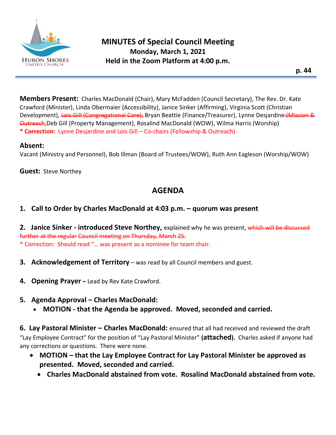

**Members Present:** Charles MacDonald (Chair), Mary McFadden (Council Secretary), The Rev. Dr. Kate Crawford (Minister), Linda Obermaier (Accessibility), Janice Sinker (Affirming), Virginia Scott (Christian Development), Lois Gill (Congregational Care), Bryan Beattie (Finance/Treasurer), Lynne Desjardine (Mission & Outreach,Deb Gill (Property Management), Rosalind MacDonald (WOW), Wilma Harris (Worship) **\* Correction:** Lynne Desjardine and Lois Gill – Co-chairs (Fellowship & Outreach)

#### **Absent:**

Vacant (Ministry and Personnel), Bob Illman (Board of Trustees/WOW), Ruth Ann Eagleson (Worship/WOW)

**Guest:** Steve Northey

# **AGENDA**

### **1. Call to Order by Charles MacDonald at 4:03 p.m. – quorum was present**

**2. Janice Sinker - introduced Steve Northey,** explained why he was present, which will be discussed further at the regular Council meeting on Thursday, March 25. \* Correction: Should read "… was present as a nominee for team chair.

- **3. Acknowledgement of Territory** was read by all Council members and guest.
- **4. Opening Prayer –** Lead by Rev Kate Crawford.

### **5. Agenda Approval – Charles MacDonald:**

• **MOTION - that the Agenda be approved. Moved, seconded and carried.**

**6. Lay Pastoral Minister – Charles MacDonald:** ensured that all had received and reviewed the draft "Lay Employee Contract" for the position of "Lay Pastoral Minister" **(attached).** Charles asked if anyone had any corrections or questions. There were none.

- **MOTION – that the Lay Employee Contract for Lay Pastoral Minister be approved as presented. Moved, seconded and carried.**
	- **Charles MacDonald abstained from vote. Rosalind MacDonald abstained from vote.**